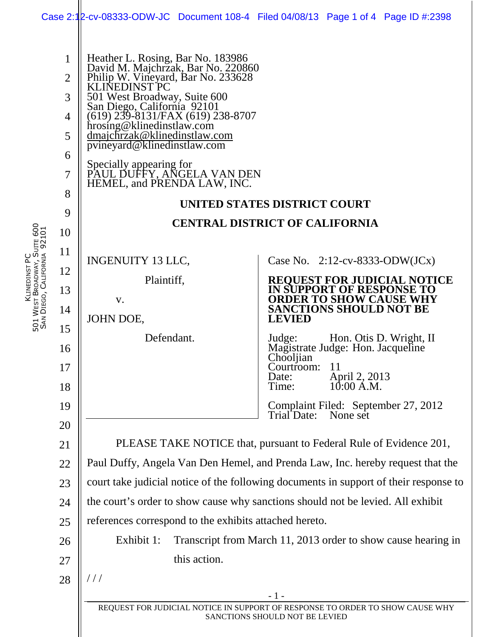|                             |                                                                |                                                                                                                                                                                                                                                                                                                                                                                                                        | Case 2:12-cv-08333-ODW-JC Document 108-4 Filed 04/08/13 Page 1 of 4 Page ID #:2398                                                                                                                                                                                                                                                                                                                                                 |
|-----------------------------|----------------------------------------------------------------|------------------------------------------------------------------------------------------------------------------------------------------------------------------------------------------------------------------------------------------------------------------------------------------------------------------------------------------------------------------------------------------------------------------------|------------------------------------------------------------------------------------------------------------------------------------------------------------------------------------------------------------------------------------------------------------------------------------------------------------------------------------------------------------------------------------------------------------------------------------|
|                             | $\mathbf{1}$<br>$\overline{2}$<br>3<br>4<br>5<br>6<br>7<br>8   | Heather L. Rosing, Bar No. 183986<br>David M. Majchrzak, Bar No. 220860<br>Philip W. Vineyard, Bar No. 233628<br>KLINEDINST PC<br>501 West Broadway, Suite 600<br>San Diego, California 92101<br>(619) 239-8131/FAX (619) 238-8707<br>hrosing@klinedinstlaw.com<br>dmajchrząk@klinedinstlaw.com<br>pvineyard@klinedinstlaw.com<br>Specially appearing for<br>PAUL DUFFY, ANGELA VAN DEN<br>HEMEL, and PRENDA LAW, INC. | UNITED STATES DISTRICT COURT                                                                                                                                                                                                                                                                                                                                                                                                       |
| SAN DIEGO, CALIFORNIA 92101 | 9                                                              | <b>CENTRAL DISTRICT OF CALIFORNIA</b>                                                                                                                                                                                                                                                                                                                                                                                  |                                                                                                                                                                                                                                                                                                                                                                                                                                    |
|                             | 10<br>11<br>12<br>13<br>14<br>15<br>16<br>17<br>18<br>19<br>20 | <b>INGENUITY 13 LLC,</b><br>Plaintiff,<br>V.<br>JOHN DOE,<br>Defendant.                                                                                                                                                                                                                                                                                                                                                | Case No. $2:12$ -cv-8333-ODW(JCx)<br><b>REQUEST FOR JUDICIAL NOTICE</b><br>IN SUPPORT OF RESPONSE TO<br><b>ORDER TO SHOW CAUSE WHY</b><br><b>SANCTIONS SHOULD NOT BE</b><br><b>LEVIED</b><br>Hon. Otis D. Wright, II<br>Judge:<br>Magistrate Judge: Hon. Jacqueline<br>Chooljian<br><sup>11</sup><br>Courtroom:<br>April 2, 2013<br>10:00 A.M.<br>Date:<br>Time:<br>Complaint Filed: September 27, 2012<br>Trial Date:<br>None set |
|                             | 21                                                             | PLEASE TAKE NOTICE that, pursuant to Federal Rule of Evidence 201,                                                                                                                                                                                                                                                                                                                                                     |                                                                                                                                                                                                                                                                                                                                                                                                                                    |
|                             | 22                                                             | Paul Duffy, Angela Van Den Hemel, and Prenda Law, Inc. hereby request that the                                                                                                                                                                                                                                                                                                                                         |                                                                                                                                                                                                                                                                                                                                                                                                                                    |
|                             | 23                                                             | court take judicial notice of the following documents in support of their response to                                                                                                                                                                                                                                                                                                                                  |                                                                                                                                                                                                                                                                                                                                                                                                                                    |
|                             | 24                                                             | the court's order to show cause why sanctions should not be levied. All exhibit                                                                                                                                                                                                                                                                                                                                        |                                                                                                                                                                                                                                                                                                                                                                                                                                    |
|                             | 25                                                             | references correspond to the exhibits attached hereto.                                                                                                                                                                                                                                                                                                                                                                 |                                                                                                                                                                                                                                                                                                                                                                                                                                    |
|                             | 26                                                             | Exhibit 1:<br>Transcript from March 11, 2013 order to show cause hearing in<br>this action.                                                                                                                                                                                                                                                                                                                            |                                                                                                                                                                                                                                                                                                                                                                                                                                    |
|                             | 27                                                             |                                                                                                                                                                                                                                                                                                                                                                                                                        |                                                                                                                                                                                                                                                                                                                                                                                                                                    |
|                             | 28                                                             | //                                                                                                                                                                                                                                                                                                                                                                                                                     |                                                                                                                                                                                                                                                                                                                                                                                                                                    |
|                             |                                                                | $-1-$<br>REQUEST FOR JUDICIAL NOTICE IN SUPPORT OF RESPONSE TO ORDER TO SHOW CAUSE WHY                                                                                                                                                                                                                                                                                                                                 |                                                                                                                                                                                                                                                                                                                                                                                                                                    |
|                             | SANCTIONS SHOULD NOT BE LEVIED                                 |                                                                                                                                                                                                                                                                                                                                                                                                                        |                                                                                                                                                                                                                                                                                                                                                                                                                                    |

KLINEDINST PC

5<br>5<br>5

W<sub>EST</sub>

BROADWAY, SUITE 600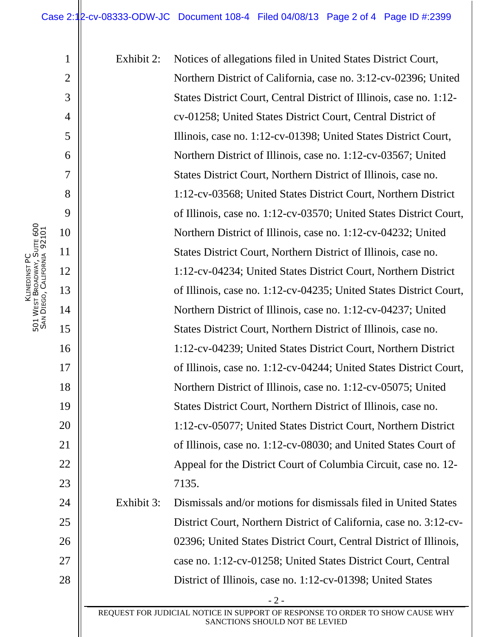Exhibit 2: Notices of allegations filed in United States District Court, Northern District of California, case no. 3:12-cv-02396; United States District Court, Central District of Illinois, case no. 1:12 cv-01258; United States District Court, Central District of Illinois, case no. 1:12-cv-01398; United States District Court, Northern District of Illinois, case no. 1:12-cv-03567; United States District Court, Northern District of Illinois, case no. 1:12-cv-03568; United States District Court, Northern District of Illinois, case no. 1:12-cv-03570; United States District Court, Northern District of Illinois, case no. 1:12-cv-04232; United States District Court, Northern District of Illinois, case no. 1:12-cv-04234; United States District Court, Northern District of Illinois, case no. 1:12-cv-04235; United States District Court, Northern District of Illinois, case no. 1:12-cv-04237; United States District Court, Northern District of Illinois, case no. 1:12-cv-04239; United States District Court, Northern District of Illinois, case no. 1:12-cv-04244; United States District Court, Northern District of Illinois, case no. 1:12-cv-05075; United States District Court, Northern District of Illinois, case no. 1:12-cv-05077; United States District Court, Northern District of Illinois, case no. 1:12-cv-08030; and United States Court of Appeal for the District Court of Columbia Circuit, case no. 12- 7135. Exhibit 3: Dismissals and/or motions for dismissals filed in United States District Court, Northern District of California, case no. 3:12-cv-

02396; United States District Court, Central District of Illinois, case no. 1:12-cv-01258; United States District Court, Central District of Illinois, case no. 1:12-cv-01398; United States

- 2 - REQUEST FOR JUDICIAL NOTICE IN SUPPORT OF RESPONSE TO ORDER TO SHOW CAUSE WHY SANCTIONS SHOULD NOT BE LEVIED

KLINEDINST PC 5<br>5<br>5 W<sub>EST</sub> BROADWAY, SUITE 600 SAN DIEGO, CALIFORNIA 92101 1

2

3

4

5

6

7

8

9

10

11

12

13

14

15

16

17

18

19

20

21

22

23

24

25

26

27

28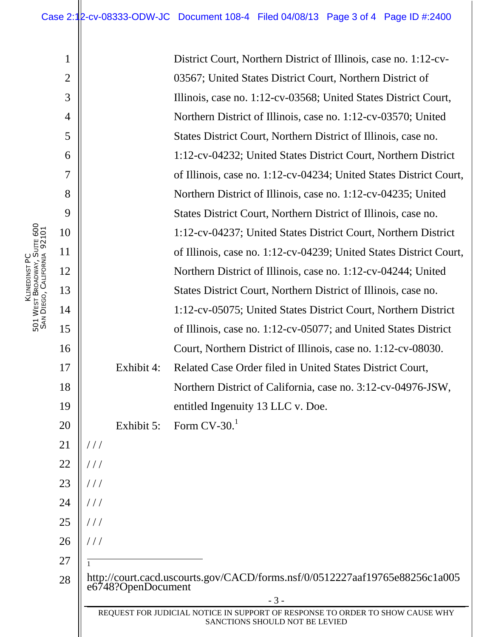District Court, Northern District of Illinois, case no. 1:12-cv-03567; United States District Court, Northern District of Illinois, case no. 1:12-cv-03568; United States District Court, Northern District of Illinois, case no. 1:12-cv-03570; United States District Court, Northern District of Illinois, case no. 1:12-cv-04232; United States District Court, Northern District of Illinois, case no. 1:12-cv-04234; United States District Court, Northern District of Illinois, case no. 1:12-cv-04235; United States District Court, Northern District of Illinois, case no. 1:12-cv-04237; United States District Court, Northern District of Illinois, case no. 1:12-cv-04239; United States District Court, Northern District of Illinois, case no. 1:12-cv-04244; United States District Court, Northern District of Illinois, case no. 1:12-cv-05075; United States District Court, Northern District of Illinois, case no. 1:12-cv-05077; and United States District Court, Northern District of Illinois, case no. 1:12-cv-08030. Exhibit 4: Related Case Order filed in United States District Court, Northern District of California, case no. 3:12-cv-04976-JSW, entitled Ingenuity 13 LLC v. Doe. Exhibit 5: Form  $CV-30<sup>1</sup>$ http://court.cacd.uscourts.gov/CACD/forms.nsf/0/0512227aaf19765e88256c1a005 e6748?OpenDocument

1

2

3

4

5

6

7

8

9

10

11

12

13

14

15

16

17

18

19

20

21

 $//$ 

 $//$ 

 $///$ 

 $//$ 

 $//$ 

 $///$ 

 $\frac{1}{1}$ 

22

23

24

25

26

27

28